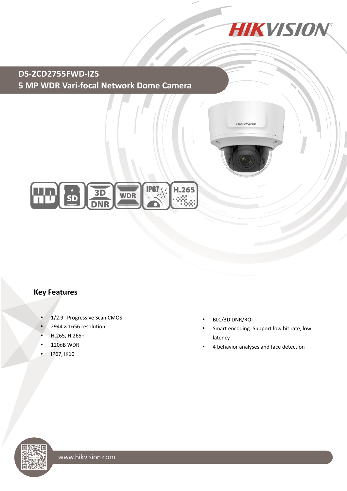

**HIKVISION** 

 **5 MP WDR Vari-focal Network Dome Camera DS-2CD2755FWD-IZS**



## **Key Features**

- 1/2.9" Progressive Scan CMOS
- 2944 × 1656 resolution
- H.265, H.265+
- 120dB WDR
- IP67, IK10
- BLC/3D DNR/ROI
- Smart encoding: Support low bit rate, low latency
- 4 behavior analyses and face detection

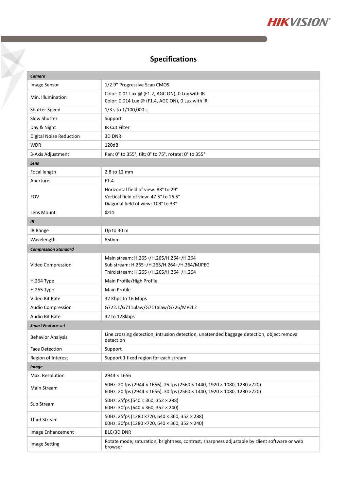

# **Specifications**

 $\triangledown$ 

| Camera                      |                                                                                                                                                        |  |
|-----------------------------|--------------------------------------------------------------------------------------------------------------------------------------------------------|--|
| Image Sensor                | 1/2.9" Progressive Scan CMOS                                                                                                                           |  |
| Min. Illumination           | Color: 0.01 Lux @ (F1.2, AGC ON), 0 Lux with IR<br>Color: 0.014 Lux @ (F1.4, AGC ON), 0 Lux with IR                                                    |  |
| Shutter Speed               | 1/3 s to 1/100,000 s                                                                                                                                   |  |
| Slow Shutter                | Support                                                                                                                                                |  |
| Day & Night                 | IR Cut Filter                                                                                                                                          |  |
| Digital Noise Reduction     | 3D DNR                                                                                                                                                 |  |
| <b>WDR</b>                  | 120dB                                                                                                                                                  |  |
| 3-Axis Adjustment           | Pan: 0° to 355°, tilt: 0° to 75°, rotate: 0° to 355°                                                                                                   |  |
| Lens                        |                                                                                                                                                        |  |
| Focal length                | 2.8 to 12 mm                                                                                                                                           |  |
| Aperture                    | F1.4                                                                                                                                                   |  |
| <b>FOV</b>                  | Horizontal field of view: 88° to 29°<br>Vertical field of view: 47.5° to 16.5°<br>Diagonal field of view: 103° to 33°                                  |  |
| Lens Mount                  | $\Phi$ 14                                                                                                                                              |  |
| IR                          |                                                                                                                                                        |  |
| IR Range                    | Up to 30 m                                                                                                                                             |  |
| Wavelength                  | 850nm                                                                                                                                                  |  |
| <b>Compression Standard</b> |                                                                                                                                                        |  |
| Video Compression           | Main stream: H.265+/H.265/H.264+/H.264<br>Sub stream: H.265+/H.265/H.264+/H.264/MJPEG<br>Third stream: H.265+/H.265/H.264+/H.264                       |  |
| H.264 Type                  | Main Profile/High Profile                                                                                                                              |  |
| H.265 Type                  | Main Profile                                                                                                                                           |  |
| Video Bit Rate              | 32 Kbps to 16 Mbps                                                                                                                                     |  |
| Audio Compression           | G722.1/G711ulaw/G711alaw/G726/MP2L2                                                                                                                    |  |
| Audio Bit Rate              | 32 to 128kbps                                                                                                                                          |  |
| <b>Smart Feature-set</b>    |                                                                                                                                                        |  |
| <b>Behavior Analysis</b>    | Line crossing detection, intrusion detection, unattended baggage detection, object removal<br>detection                                                |  |
| <b>Face Detection</b>       | Support                                                                                                                                                |  |
| Region of Interest          | Support 1 fixed region for each stream                                                                                                                 |  |
| <b>Image</b>                |                                                                                                                                                        |  |
| Max. Resolution             | 2944 × 1656                                                                                                                                            |  |
| Main Stream                 | 50Hz: 20 fps (2944 × 1656), 25 fps (2560 × 1440, 1920 × 1080, 1280 × 720)<br>60Hz: 20 fps (2944 × 1656), 30 fps (2560 × 1440, 1920 × 1080, 1280 × 720) |  |
| Sub Stream                  | 50Hz: 25fps (640 × 360, 352 × 288)<br>60Hz: 30fps (640 $\times$ 360, 352 $\times$ 240)                                                                 |  |
| <b>Third Stream</b>         | 50Hz: 25fps (1280 ×720, 640 × 360, 352 × 288)<br>60Hz: 30fps (1280 × 720, 640 × 360, 352 × 240)                                                        |  |
| Image Enhancement           | BLC/3D DNR                                                                                                                                             |  |
| <b>Image Setting</b>        | Rotate mode, saturation, brightness, contrast, sharpness adjustable by client software or web<br>browser                                               |  |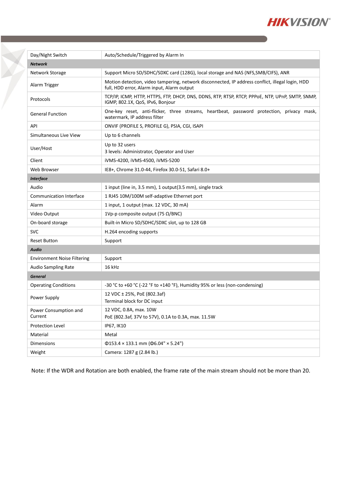

| Day/Night Switch                   | Auto/Schedule/Triggered by Alarm In                                                                                                            |
|------------------------------------|------------------------------------------------------------------------------------------------------------------------------------------------|
| <b>Network</b>                     |                                                                                                                                                |
| Network Storage                    | Support Micro SD/SDHC/SDXC card (128G), local storage and NAS (NFS, SMB/CIFS), ANR                                                             |
| Alarm Trigger                      | Motion detection, video tampering, network disconnected, IP address conflict, illegal login, HDD<br>full, HDD error, Alarm input, Alarm output |
| Protocols                          | TCP/IP, ICMP, HTTP, HTTPS, FTP, DHCP, DNS, DDNS, RTP, RTSP, RTCP, PPPOE, NTP, UPnP, SMTP, SNMP,<br>IGMP, 802.1X, QoS, IPv6, Bonjour            |
| <b>General Function</b>            | One-key reset, anti-flicker, three streams, heartbeat, password protection, privacy mask,<br>watermark, IP address filter                      |
| API                                | ONVIF (PROFILE S, PROFILE G), PSIA, CGI, ISAPI                                                                                                 |
| Simultaneous Live View             | Up to 6 channels                                                                                                                               |
| User/Host                          | Up to 32 users<br>3 levels: Administrator, Operator and User                                                                                   |
| Client                             | iVMS-4200, iVMS-4500, iVMS-5200                                                                                                                |
| Web Browser                        | IE8+, Chrome 31.0-44, Firefox 30.0-51, Safari 8.0+                                                                                             |
| <b>Interface</b>                   |                                                                                                                                                |
| Audio                              | 1 input (line in, 3.5 mm), 1 output(3.5 mm), single track                                                                                      |
| <b>Communication Interface</b>     | 1 RJ45 10M/100M self-adaptive Ethernet port                                                                                                    |
| Alarm                              | 1 input, 1 output (max. 12 VDC, 30 mA)                                                                                                         |
| Video Output                       | 1Vp-p composite output (75 $\Omega$ /BNC)                                                                                                      |
| On-board storage                   | Built-in Micro SD/SDHC/SDXC slot, up to 128 GB                                                                                                 |
| <b>SVC</b>                         | H.264 encoding supports                                                                                                                        |
| <b>Reset Button</b>                | Support                                                                                                                                        |
| <b>Audio</b>                       |                                                                                                                                                |
| <b>Environment Noise Filtering</b> | Support                                                                                                                                        |
| Audio Sampling Rate                | 16 kHz                                                                                                                                         |
| <b>General</b>                     |                                                                                                                                                |
| <b>Operating Conditions</b>        | -30 °C to +60 °C (-22 °F to +140 °F), Humidity 95% or less (non-condensing)                                                                    |
| Power Supply                       | 12 VDC ± 25%, PoE (802.3af)<br>Terminal block for DC input                                                                                     |
| Power Consumption and<br>Current   | 12 VDC, 0.8A, max. 10W<br>PoE (802.3af, 37V to 57V), 0.1A to 0.3A, max. 11.5W                                                                  |
| Protection Level                   | IP67, IK10                                                                                                                                     |
| Material                           | Metal                                                                                                                                          |
| Dimensions                         | $\Phi$ 153.4 × 133.1 mm ( $\Phi$ 6.04" × 5.24")                                                                                                |
| Weight                             | Camera: 1287 g (2.84 lb.)                                                                                                                      |

Note: If the WDR and Rotation are both enabled, the frame rate of the main stream should not be more than 20.